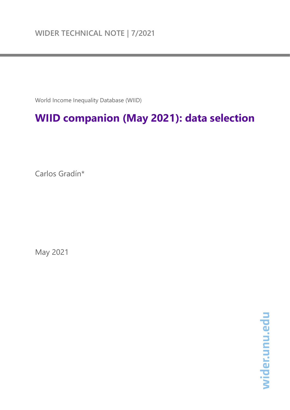World Income Inequality Database (WIID)

# **WIID companion (May 2021): data selection**

Carlos Gradín\*

May 2021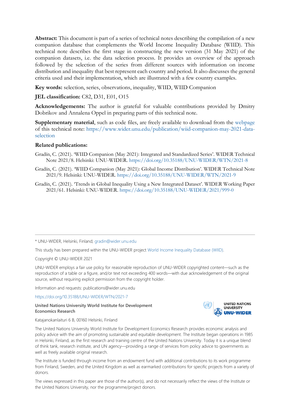**Abstract:** This document is part of a series of technical notes describing the compilation of a new companion database that complements the World Income Inequality Database (WIID). This technical note describes the first stage in constructing the new version (31 May 2021) of the companion datasets, i.e. the data selection process. It provides an overview of the approach followed by the selection of the series from different sources with information on income distribution and inequality that best represent each country and period. It also discusses the general criteria used and their implementation, which are illustrated with a few country examples.

**Key words:** selection, series, observations, inequality, WIID, WIID Companion

**JEL classification:** C82, D31, E01, O15

**Acknowledgements:** The author is grateful for valuable contributions provided by Dmitry Dobrikov and Annalena Oppel in preparing parts of this technical note.

**Supplementary material**, such as code files, are freely available to download from the [webpage](https://doi.org/10.35188/UNU-WIDER/WTN/2021-7) of this technical note: [https://www.wider.unu.edu/publication/wiid-companion-may-2021-data](https://www.wider.unu.edu/publication/wiid-companion-may-2021-data-selection)[selection](https://www.wider.unu.edu/publication/wiid-companion-may-2021-data-selection)

#### **Related publications:**

- Gradín, C. (2021). 'WIID Companion (May 2021): Integrated and Standardized Series'. WIDER Technical Note 2021/8. Helsinki: UNU-WIDER.<https://doi.org/10.35188/UNU-WIDER/WTN/2021-8>
- Gradín, C. (2021). 'WIID Companion (May 2021): Global Income Distribution'. WIDER Technical Note 2021/9. Helsinki: UNU-WIDER.<https://doi.org/10.35188/UNU-WIDER/WTN/2021-9>

Gradín, C. (2021). 'Trends in Global Inequality Using a New Integrated Dataset'. WIDER Working Paper 2021/61. Helsinki: UNU-WIDER.<https://doi.org/10.35188/UNU-WIDER/2021/999-0>

\* UNU-WIDER, Helsinki, Finland; [gradin@wider.unu.edu](mailto:gradin@wider.unu.edu)

This study has been prepared within the UNU-WIDER project [World Income Inequality Database \(WIID\).](https://www.wider.unu.edu/node/238021)

Copyright © UNU-WIDER 2021

UNU-WIDER employs a fair use policy for reasonable reproduction of UNU-WIDER copyrighted content—such as the reproduction of a table or a figure, and/or text not exceeding 400 words—with due acknowledgement of the original source, without requiring explicit permission from the copyright holder.

Information and requests: publications@wider.unu.edu

<https://doi.org/10.35188/UNU-WIDER/WTN/2021-7>

#### **United Nations University World Institute for Development Economics Research**



Katajanokanlaituri 6 B, 00160 Helsinki, Finland

The United Nations University World Institute for Development Economics Research provides economic analysis and policy advice with the aim of promoting sustainable and equitable development. The Institute began operations in 1985 in Helsinki, Finland, as the first research and training centre of the United Nations University. Today it is a unique blend of think tank, research institute, and UN agency—providing a range of services from policy advice to governments as well as freely available original research.

The Institute is funded through income from an endowment fund with additional contributions to its work programme from Finland, Sweden, and the United Kingdom as well as earmarked contributions for specific projects from a variety of donors.

The views expressed in this paper are those of the author(s), and do not necessarily reflect the views of the Institute or the United Nations University, nor the programme/project donors.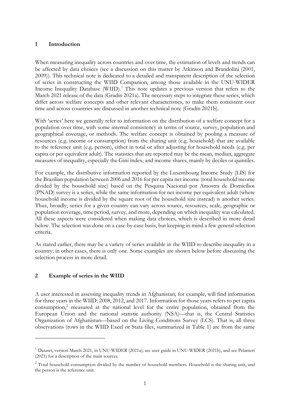## **1 Introduction**

When measuring inequality across countries and over time, the estimation of levels and trends can be affected by data choices (see a discussion on this matter by Atkinson and Brandolini (2001, 2009)). This technical note is dedicated to a detailed and transparent description of the selection of series in constructing the WIID Companion, among those available in the UNU-WIDER Income Inequality Database (WIID).<sup>[1](#page-2-0)</sup> This note updates a previous version that refers to the March 2021 release of the data (Gradín 2021a). The necessary steps to integrate these series, which differ across welfare concepts and other relevant characteristics, to make them consistent over time and across countries are discussed in another technical note (Gradín 2021b).

With 'series' here we generally refer to information on the distribution of a welfare concept for a population over time, with some internal consistency in terms of source, survey, population and geographical coverage, or methods. The welfare concept is obtained by pooling a measure of resources (e.g. income or consumption) from the sharing unit (e.g. household) that are available to the reference unit (e.g. person), either in total or after adjusting for household needs (e.g. per capita or per equivalent adult). The statistics that are reported may be the mean, median, aggregate measures of inequality, especially the Gini index, and income shares, mainly by deciles or quintiles.

For example, the distributive information reported by the Luxembourg Income Study (LIS) for the Brazilian population between 2006 and 2016 for per capita net income (total household income divided by the household size) based on the Pesquisa Nacional por Amostra de Domicílios (PNAD) survey is a series, while the same information for net income per equivalent adult (where household income is divided by the square root of the household size instead) is another series. Thus, broadly, series for a given country can vary across source, resources, scale, geographic or population coverage, time period, survey, and more, depending on which inequality was calculated. All these aspects were considered when making data choices, which is described in more detail below. The selection was done on a case-by-case basis, but keeping in mind a few general selection criteria.

As stated earlier, there may be a variety of series available in the WIID to describe inequality in a country; in other cases, there is only one. Some examples are shown below before discussing the selection process in more detail.

# **2 Example of series in the WIID**

A user interested in assessing inequality trends in Afghanistan, for example, will find information for three years in the WIID: 2008, 2012, and 2017. Information for those years refers to per capita consumption, [2](#page-2-1) measured at the national level for the entire population, obtained from the European Union and the national statistic authority (NSA)—that is, the Central Statistics Organization of Afghanistan—based on the Living Conditions Survey (LCS). That is, all three observations (rows in the WIID Excel or Stata files, summarized in Table 1) are from the same

<span id="page-2-0"></span><sup>&</sup>lt;sup>1</sup> Dataset, version March 2021, in UNU-WIDER (2021a); see user guide in UNU-WIDER (2021b), and see Pelanteri (2021) for a description of the main sources.

<span id="page-2-1"></span><sup>&</sup>lt;sup>2</sup> Total household consumption divided by the number of household members. Household is the sharing unit, and the person is the reference unit.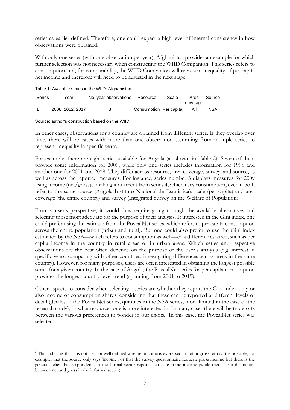series as earlier defined. Therefore, one could expect a high level of internal consistency in how observations were obtained.

With only one series (with one observation per year), Afghanistan provides an example for which further selection was not necessary when constructing the WIID Companion. This series refers to consumption and, for comparability, the WIID Companion will represent inequality of per capita net income and therefore will need to be adjusted in the next stage.

Table 1: Available series in the WIID: Afghanistan

| Series | Year             | No. year observations Resource |                        | Scale | Area     | Source     |
|--------|------------------|--------------------------------|------------------------|-------|----------|------------|
|        |                  |                                |                        |       | coverage |            |
|        | 2008, 2012, 2017 |                                | Consumption Per capita |       | All      | <b>NSA</b> |

Source: author's construction based on the WIID.

In other cases, observations for a country are obtained from different series. If they overlap over time, there will be cases with more than one observation stemming from multiple series to represent inequality in specific years.

For example, there are eight series available for Angola (as shown in Table 2). Seven of them provide some information for 2009, while only one series includes information for 1995 and another one for 2001 and 2019. They differ across resource, area coverage, survey, and source, as well as across the reported measures. For instance, series number 3 displays measures for 2009 using income (net/gross), [3](#page-3-0) making it different from series 4, which uses consumption, even if both refer to the same source (Angola Instituto Nacional de Estatistica), scale (per capita) and area coverage (the entire country) and survey (Integrated Survey on the Welfare of Population).

From a user's perspective, it would thus require going through the available alternatives and selecting those most adequate for the purpose of their analysis. If interested in the Gini index, one could prefer using the estimate from the PovcalNet series, which refers to per capita consumption across the entire population (urban and rural). But one could also prefer to use the Gini index estimated by the NSA—which refers to consumption as well—or a different resource, such as per capita income in the country in rural areas or in urban areas. Which series and respective observations are the best often depends on the purpose of the user's analysis (e.g. interest in specific years, comparing with other countries, investigating differences across areas in the same country). However, for many purposes, users are often interested in obtaining the longest possible series for a given country. In the case of Angola, the PovcalNet series for per capita consumption provides the longest country-level trend (spanning from 2001 to 2019).

Other aspects to consider when selecting a series are whether they report the Gini index only or also income or consumption shares, considering that these can be reported at different levels of detail (deciles in the PovcalNet series; quintiles in the NSA series; more limited in the case of the research study), or what resources one is more interested in. In many cases there will be trade-offs between the various preferences to ponder in our choice. In this case, the PovcalNet series was selected.

<span id="page-3-0"></span><sup>&</sup>lt;sup>3</sup> This indicates that it is not clear or well defined whether income is expressed in net or gross terms. It is possible, for example, that the source only says 'income', or that the survey questionnaire requests gross income but there is the general belief that respondents in the formal sector report their take-home income (while there is no distinction between net and gross in the informal sector).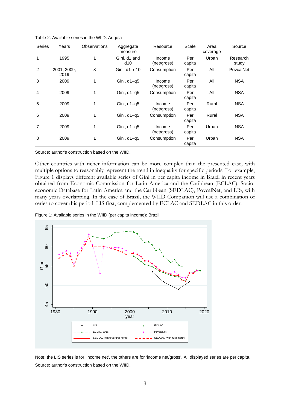| Table 2: Available series in the WIID: Angola |  |  |
|-----------------------------------------------|--|--|
|-----------------------------------------------|--|--|

| <b>Series</b> | Years               | <b>Observations</b> | Aggregate<br>measure | Resource              | Scale         | Area<br>coverage | Source            |
|---------------|---------------------|---------------------|----------------------|-----------------------|---------------|------------------|-------------------|
| 1             | 1995                | 1                   | Gini, d1 and<br>d10  | Income<br>(net/gross) | Per<br>capita | Urban            | Research<br>study |
| 2             | 2001, 2009,<br>2019 | 3                   | Gini, d1-d10         | Consumption           | Per<br>capita | All              | PovcalNet         |
| 3             | 2009                | 1                   | Gini, $q1-q5$        | Income<br>(net/gross) | Per<br>capita | All              | <b>NSA</b>        |
| 4             | 2009                | 1                   | Gini, $q1-q5$        | Consumption           | Per<br>capita | All              | <b>NSA</b>        |
| 5             | 2009                | 1                   | Gini, $q1-q5$        | Income<br>(net/gross) | Per<br>capita | Rural            | <b>NSA</b>        |
| 6             | 2009                | 1                   | Gini, $q1-q5$        | Consumption           | Per<br>capita | Rural            | <b>NSA</b>        |
| 7             | 2009                | 1                   | Gini, $q1-q5$        | Income<br>(net/gross) | Per<br>capita | Urban            | <b>NSA</b>        |
| 8             | 2009                | 1                   | Gini, q1-q5          | Consumption           | Per<br>capita | Urban            | <b>NSA</b>        |

Source: author's construction based on the WIID.

Other countries with richer information can be more complex than the presented case, with multiple options to reasonably represent the trend in inequality for specific periods. For example, Figure 1 displays different available series of Gini in per capita income in Brazil in recent years obtained from Economic Commission for Latin America and the Caribbean (ECLAC), Socioeconomic Database for Latin America and the Caribbean (SEDLAC), PovcalNet, and LIS, with many years overlapping. In the case of Brazil, the WIID Companion will use a combination of series to cover this period: LIS first, complemented by ECLAC and SEDLAC in this order.





Note: the LIS series is for 'income net', the others are for 'income net/gross'. All displayed series are per capita.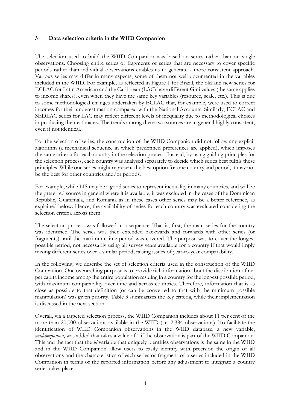## **3 Data selection criteria in the WIID Companion**

The selection used to build the WIID Companion was based on series rather than on single observations. Choosing entire series or fragments of series that are necessary to cover specific periods rather than individual observations enables us to generate a more consistent approach. Various series may differ in many aspects, some of them not well documented in the variables included in the WIID. For example, as reflected in Figure 1 for Brazil, the old and new series for ECLAC for Latin American and the Caribbean (LAC) have different Gini values (the same applies to income shares), even when they have the same key variables (resource, scale, etc.). This is due to some methodological changes undertaken by ECLAC that, for example, were used to correct incomes for their underestimation compared with the National Accounts. Similarly, ECLAC and SEDLAC series for LAC may reflect different levels of inequality due to methodological choices in producing their estimates. The trends among these two sources are in general highly consistent, even if not identical.

For the selection of series, the construction of the WIID Companion did not follow any explicit algorithm (a mechanical sequence in which predefined preferences are applied), which imposes the same criteria for each country in the selection process. Instead, by using guiding principles for the selection process, each country was analysed separately to decide which series best fulfils these principles. While one series might represent the best option for one country and period, it may not be the best for other countries and/or periods.

For example, while LIS may be a good series to represent inequality in many countries, and will be the preferred source in general where it is available, it was excluded in the cases of the Dominican Republic, Guatemala, and Romania as in these cases other series may be a better reference, as explained below. Hence, the availability of series for each country was evaluated considering the selection criteria across them.

The selection process was followed in a sequence. That is, first, the main series for the country was identified. The series was then extended backwards and forwards with other series (or fragments) until the maximum time period was covered. The purpose was to cover the longest possible period, not necessarily using all survey years available for a country if that would imply mixing different series over a similar period, raising issues of year-to-year comparability.

In the following, we describe the set of selection criteria used in the construction of the WIID Companion. One overarching purpose is to provide rich information about the distribution of net per capita income among the entire population residing in a country for the longest possible period, with maximum comparability over time and across countries. Therefore, information that is as close as possible to that definition (or can be converted to that with the minimum possible manipulation) was given priority. Table 3 summarizes the key criteria, while their implementation is discussed in the next section.

Overall, via a targeted selection process, the WIID Companion includes about 11 per cent of the more than 20,000 observations available in the WIID (i.e. 2,384 observations). To facilitate the identification of WIID Companion observations in the WIID database, a new variable, *wiidcompanion*, was added that takes a value of 1 if the observation is part of the WIID Companion. This and the fact that the *id* variable that uniquely identifies observations is the same in the WIID and in the WIID Companion allow users to easily identify with precision the origin of all observations and the characteristics of each series or fragment of a series included in the WIID Companion in terms of the reported information before any adjustment to integrate a country series takes place.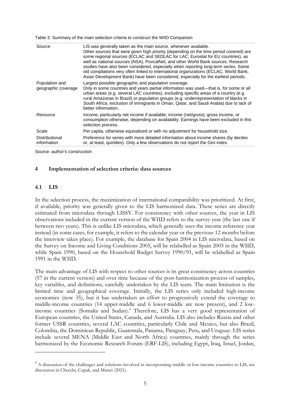Table 3: Summary of the main selection criteria to construct the WIID Companion

| Source                                | LIS was generally taken as the main source, whenever available.<br>Other sources that were given high priority (depending on the time period covered) are<br>some regional sources (ECLAC and SEDLAC for LAC; Eurostat for EU countries), as<br>well as national sources (NSA), PovcalNet, and other World Bank sources. Research<br>studies have also been considered, especially when reporting long-term series. Some<br>old compilations very often linked to international organizations (ECLAC, World Bank,<br>Asian Development Bank) have been considered, especially for the earliest periods. |
|---------------------------------------|---------------------------------------------------------------------------------------------------------------------------------------------------------------------------------------------------------------------------------------------------------------------------------------------------------------------------------------------------------------------------------------------------------------------------------------------------------------------------------------------------------------------------------------------------------------------------------------------------------|
| Population and<br>geographic coverage | Largest possible geographic and population coverage.<br>Only in some countries and years partial information was used—that is, for some or all<br>urban areas (e.g. several LAC countries), excluding specific areas of a country (e.g.<br>rural Amazonas in Brazil) or population groups (e.g. underrepresentation of blacks in<br>South Africa, exclusion of immigrants in Oman, Qatar, and Saudi Arabia) due to lack of<br>better information.                                                                                                                                                       |
| Resource                              | Income, particularly net income if available; income (net/gross), gross income, or<br>consumption otherwise, depending on availability. Earnings have been excluded in this<br>selection process.                                                                                                                                                                                                                                                                                                                                                                                                       |
| Scale                                 | Per capita, otherwise equivalized or with no adjustment for household size.                                                                                                                                                                                                                                                                                                                                                                                                                                                                                                                             |
| Distributional<br>information         | Preference for series with more detailed information about income shares (by deciles<br>or, at least, quintiles). Only a few observations do not report the Gini index.                                                                                                                                                                                                                                                                                                                                                                                                                                 |

Source: author's construction

#### **4 Implementation of selection criteria: data sources**

#### **4.1 LIS**

In the selection process, the maximization of international comparability was prioritized. At first, if available, priority was generally given to the LIS harmonized data. These series are directly estimated from microdata through LISSY. For consistency with other sources, the year in LIS observations included in the current version of the WIID refers to the survey year (the last one if between two years). This is unlike LIS microdata, which generally uses the income reference year instead (in some cases, for example, it refers to the calendar year or the previous 12 months before the interview takes place). For example, the database for Spain 2004 in LIS microdata, based on the Survey on Income and Living Conditions 2005, will be relabelled as Spain 2005 in the WIID, while Spain 1990, based on the Household Budget Survey 1990/91, will be relabelled as Spain 1991 in the WIID.

The main advantage of LIS with respect to other sources is its great consistency across countries (57 in the current version) and over time because of the post-harmonization process of samples, key variables, and definitions, carefully undertaken by the LIS team. The main limitation is the limited time and geographical coverage. Initially, the LIS series only included high-income economies (now 35), but it has undertaken an effort to progressively extend the coverage to middle-income countries (14 upper-middle and 6 lower-middle are now present), and 2 lowincome countries (Somalia and Sudan)[.4](#page-6-0) Therefore, LIS has a very good representation of European countries, the United States, Canada, and Australia. LIS also includes Russia and other former USSR countries, several LAC countries, particularly Chile and Mexico, but also Brazil, Colombia, the Dominican Republic, Guatemala, Panama, Paraguay, Peru, and Uruguay. LIS series include several MENA (Middle East and North Africa) countries, mainly through the series harmonized by the Economic Research Forum (ERF-LIS), including Egypt, Iraq, Israel, Jordan,

<span id="page-6-0"></span><sup>&</sup>lt;sup>4</sup> A discussion of the challenges and solutions involved in incorporating middle or low-income countries to LIS, see discussion in Checchi, Cupak, and Munzi (2021).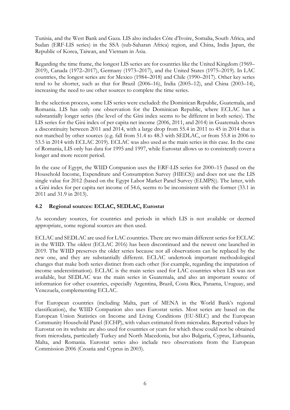Tunisia, and the West Bank and Gaza. LIS also includes Côte d'Ivoire, Somalia, South Africa, and Sudan (ERF-LIS series) in the SSA (sub-Saharan Africa) region, and China, India Japan, the Republic of Korea, Taiwan, and Vietnam in Asia.

Regarding the time frame, the longest LIS series are for countries like the United Kingdom (1969– 2019), Canada (1972–2017), Germany (1973–2017), and the United States (1975–2019). In LAC countries, the longest series are for Mexico (1984–2018) and Chile (1990–2017). Other key series tend to be shorter, such as that for Brazil (2006–16), India (2005–12), and China (2003–14), increasing the need to use other sources to complete the time series.

In the selection process, some LIS series were excluded: the Dominican Republic, Guatemala, and Romania. LIS has only one observation for the Dominican Republic, where ECLAC has a substantially longer series (the level of the Gini index seems to be different in both series). The LIS series for the Gini index of per capita net income (2006, 2011, and 2014) in Guatemala shows a discontinuity between 2011 and 2014, with a large drop from 55.4 in 2011 to 45 in 2014 that is not matched by other sources (e.g. fall from 51.4 to 48.3 with SEDLAC, or from 55.8 in 2006 to 53.5 in 2014 with ECLAC 2019). ECLAC was also used as the main series in this case. In the case of Romania, LIS only has data for 1995 and 1997, while Eurostat allows us to consistently cover a longer and more recent period.

In the case of Egypt, the WIID Companion uses the ERF-LIS series for 2000–15 (based on the Household Income, Expenditure and Consumption Survey (HIECS)) and does not use the LIS single value for 2012 (based on the Egypt Labor Market Panel Survey (ELMPS)). The latter, with a Gini index for per capita net income of 54.6, seems to be inconsistent with the former (33.1 in 2011 and 31.9 in 2013).

# **4.2 Regional sources: ECLAC, SEDLAC, Eurostat**

As secondary sources, for countries and periods in which LIS is not available or deemed appropriate, some regional sources are then used.

ECLAC and SEDLAC are used for LAC countries. There are two main different series for ECLAC in the WIID. The oldest (ECLAC 2016) has been discontinued and the newest one launched in 2019. The WIID preserves the older series because not all observations can be replaced by the new one, and they are substantially different. ECLAC undertook important methodological changes that make both series distinct from each other (for example, regarding the imputation of income underestimation). ECLAC is the main series used for LAC countries when LIS was not available, but SEDLAC was the main series in Guatemala, and also an important source of information for other countries, especially Argentina, Brazil, Costa Rica, Panama, Uruguay, and Venezuela, complementing ECLAC.

For European countries (including Malta, part of MENA in the World Bank's regional classification), the WIID Companion also uses Eurostat series. Most series are based on the European Union Statistics on Income and Living Conditions (EU-SILC) and the European Community Household Panel (ECHP), with values estimated from microdata. Reported values by Eurostat on its website are also used for countries or years for which these could not be obtained from microdata, particularly Turkey and North Macedonia, but also Bulgaria, Cyprus, Lithuania, Malta, and Romania. Eurostat series also include two observations from the European Commission 2006 (Croatia and Cyprus in 2003).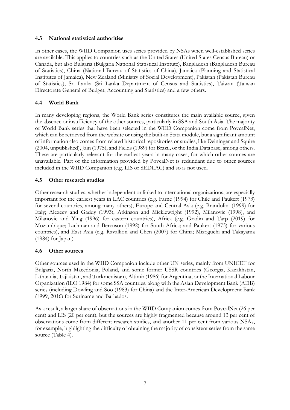## **4.3 National statistical authorities**

In other cases, the WIID Companion uses series provided by NSAs when well-established series are available. This applies to countries such as the United States (United States Census Bureau) or Canada, but also Bulgaria (Bulgaria National Statistical Institute), Bangladesh (Bangladesh Bureau of Statistics), China (National Bureau of Statistics of China), Jamaica (Planning and Statistical Institutes of Jamaica), New Zealand (Ministry of Social Development), Pakistan (Pakistan Bureau of Statistics), Sri Lanka (Sri Lanka Department of Census and Statistics), Taiwan (Taiwan Directorate General of Budget, Accounting and Statistics) and a few others.

# **4.4 World Bank**

In many developing regions, the World Bank series constitutes the main available source, given the absence or insufficiency of the other sources, particularly in SSA and South Asia. The majority of World Bank series that have been selected in the WIID Companion come from PovcalNet, which can be retrieved from the website or using the built-in Stata module, but a significant amount of information also comes from related historical repositories or studies, like Deininger and Squire (2004, unpublished), Jain (1975), and Fields (1989) for Brazil, or the India Database, among others. These are particularly relevant for the earliest years in many cases, for which other sources are unavailable. Part of the information provided by PovcalNet is redundant due to other sources included in the WIID Companion (e.g. LIS or SEDLAC) and so is not used.

# **4.5 Other research studies**

Other research studies, whether independent or linked to international organizations, are especially important for the earliest years in LAC countries (e.g. Farne (1994) for Chile and Paukert (1973) for several countries, among many others), Europe and Central Asia (e.g. Brandolini (1999) for Italy; Alexeev and Gaddy (1993), Atkinson and Micklewright (1992), Milanovic (1998), and Milanovic and Ying (1996) for eastern countries), Africa (e.g. Gradín and Tarp (2019) for Mozambique; Lachman and Bercuson (1992) for South Africa; and Paukert (1973) for various countries), and East Asia (e.g. Ravallion and Chen (2007) for China; Mizoguchi and Takayama (1984) for Japan).

# **4.6 Other sources**

Other sources used in the WIID Companion include other UN series, mainly from UNICEF for Bulgaria, North Macedonia, Poland, and some former USSR countries (Georgia, Kazakhstan, Lithuania, Tajikistan, and Turkmenistan), Altimir (1986) for Argentina, or the International Labour Organization (ILO 1984) for some SSA countries, along with the Asian Development Bank (ADB) series (including Dowling and Soo (1983) for China) and the Inter-American Development Bank (1999, 2016) for Suriname and Barbados.

As a result, a larger share of observations in the WIID Companion comes from PovcalNet (26 per cent) and LIS (20 per cent), but the sources are highly fragmented because around 13 per cent of observations come from different research studies, and another 11 per cent from various NSAs, for example, highlighting the difficulty of obtaining the majority of consistent series from the same source (Table 4).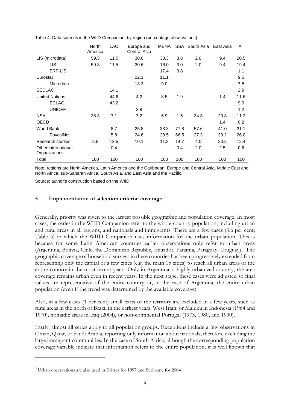|                                      | North<br>America | <b>LAC</b> | Europe and<br><b>Central Asia</b> | <b>MENA</b> |      | SSA South Asia | East Asia | All  |
|--------------------------------------|------------------|------------|-----------------------------------|-------------|------|----------------|-----------|------|
| LIS (microdata)                      | 59.3             | 11.5       | 30.6                              | 33.3        | 3.8  | 2.0            | 9.4       | 20.5 |
| LIS                                  | 59.3             | 11.5       | 30.6                              | 16.0        | 3.0  | 2.0            | 9.4       | 19.4 |
| ERF-LIS                              |                  |            |                                   | 17.4        | 0.8  |                |           | 1.1  |
| Eurostat                             |                  |            | 22.1                              | 11.1        |      |                |           | 9.5  |
| Microdata                            |                  |            | 18.3                              | 9.0         |      |                |           | 7.8  |
| <b>SEDLAC</b>                        |                  | 14.1       |                                   |             |      |                |           | 2.9  |
| <b>United Nations</b>                |                  | 44.6       | 4.2                               | 3.5         | 1.9  |                | 1.4       | 11.6 |
| <b>ECLAC</b>                         |                  | 43.2       |                                   |             |      |                |           | 9.0  |
| <b>UNICEF</b>                        |                  |            | 3.8                               |             |      |                |           | 1.2  |
| <b>NSA</b>                           | 38.3             | 7.1        | 7.2                               | 6.9         | 1.5  | 34.3           | 23.8      | 11.2 |
| OECD                                 |                  |            |                                   |             |      |                | 1.4       | 0.2  |
| <b>World Bank</b>                    |                  | 8.7        | 25.8                              | 33.3        | 77.8 | 57.6           | 41.0      | 31.1 |
| PovcalNet                            |                  | 5.8        | 24.6                              | 28.5        | 66.5 | 27.3           | 33.2      | 26.0 |
| <b>Research studies</b>              | 2.5              | 13.5       | 10.1                              | 11.8        | 14.7 | 4.0            | 20.5      | 12.4 |
| Other international<br>Organizations |                  | 0.4        |                                   |             | 0.4  | 2.0            | 2.5       | 0.6  |
| Total                                | 100              | 100        | 100                               | 100         | 100  | 100            | 100       | 100  |

Table 4: Data sources in the WIID Companion, by region (percentage observations)

Note: regions are North America, Latin America and the Caribbean, Europe and Central Asia, Middle East and North Africa, sub-Saharan Africa, South Asia, and East Asia and the Pacific.

Source: author's construction based on the WIID.

#### **5 Implementation of selection criteria: coverage**

Generally, priority was given to the largest possible geographic and population coverage. In most cases, the series in the WIID Companion refer to the whole-country population, including urban and rural areas in all regions, and nationals and immigrants. There are a few cases (3.6 per cent; Table 5) in which the WIID Companion uses information for the urban population. This is because for some Latin American countries earlier observations only refer to urban areas (Argentina, Bolivia, Chile, the Dominican Republic, Ecuador, Panama, Paraguay, Uruguay).[5](#page-9-0) The geographic coverage of household surveys in these countries has been progressively extended from representing only the capital or a few cities (e.g. the main 15 cities) to reach all urban areas or the entire country in the most recent years. Only in Argentina, a highly urbanized country, the area coverage remains urban even in recent years. In the next stage, these cases were adjusted so final values are representative of the entire country or, in the case of Argentina, the entire urban population (even if the trend was determined by the available coverage).

Also, in a few cases (1 per cent) small parts of the territory are excluded in a few years, such as rural areas in the north of Brazil in the earliest years, West Irian, or Maluku in Indonesia (1964 and 1970), nomadic areas in Iraq (2004), or non-continental Portugal (1973, 1980, and 1990).

Lastly, almost all series apply to all population groups. Exceptions include a few observations in Oman, Qatar, or Saudi Arabia, reporting only information about nationals, therefore excluding the large immigrant communities. In the case of South Africa, although the corresponding population coverage variable indicate that information refers to the entire population, it is well known that

<span id="page-9-0"></span><sup>5</sup> Urban observations are also used in Eritrea for 1997 and Suriname for 2004.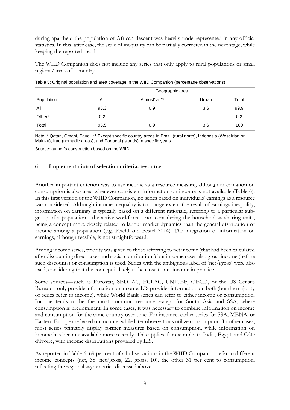during apartheid the population of African descent was heavily underrepresented in any official statistics. In this latter case, the scale of inequality can be partially corrected in the next stage, while keeping the reported trend.

The WIID Companion does not include any series that only apply to rural populations or small regions/areas of a country.

|            | Geographic area |                |       |       |  |  |  |
|------------|-----------------|----------------|-------|-------|--|--|--|
| Population | All             | 'Almost' all** | Urban | Total |  |  |  |
| All        | 95.3            | 0.9            | 3.6   | 99.9  |  |  |  |
| Other*     | 0.2             |                |       | 0.2   |  |  |  |
| Total      | 95.5            | 0.9            | 3.6   | 100   |  |  |  |

Table 5: Original population and area coverage in the WIID Companion (percentage observations)

Note: \* Qatari, Omani, Saudi. \*\* Except specific country areas in Brazil (rural north), Indonesia (West Irian or Maluku), Iraq (nomadic areas), and Portugal (islands) in specific years.

Source: author's construction based on the WIID.

## **6 Implementation of selection criteria: resource**

Another important criterion was to use income as a resource measure, although information on consumption is also used whenever consistent information on income is not available (Table 6). In this first version of the WIID Companion, no series based on individuals' earnings as a resource was considered. Although income inequality is to a large extent the result of earnings inequality, information on earnings is typically based on a different rationale, referring to a particular subgroup of a population—the active workforce—not considering the household as sharing units, being a concept more closely related to labour market dynamics than the general distribution of income among a population (e.g. Peichl and Pestel 2014). The integration of information on earnings, although feasible, is not straightforward.

Among income series, priority was given to those referring to net income (that had been calculated after discounting direct taxes and social contributions) but in some cases also gross income (before such discounts) or consumption is used. Series with the ambiguous label of 'net/gross' were also used, considering that the concept is likely to be close to net income in practice.

Some sources—such as Eurostat, SEDLAC, ECLAC, UNICEF, OECD, or the US Census Bureau—only provide information on income; LIS provides information on both (but the majority of series refer to income), while World Bank series can refer to either income or consumption. Income tends to be the most common resource except for South Asia and SSA, where consumption is predominant. In some cases, it was necessary to combine information on income and consumption for the same country over time. For instance, earlier series for SSA, MENA, or Eastern Europe are based on income, while later observations utilize consumption. In other cases, most series primarily display former measures based on consumption, while information on income has become available more recently. This applies, for example, to India, Egypt, and Côte d'Ivoire, with income distributions provided by LIS.

As reported in Table 6, 69 per cent of all observations in the WIID Companion refer to different income concepts (net, 38; net/gross, 22, gross, 10), the other 31 per cent to consumption, reflecting the regional asymmetries discussed above.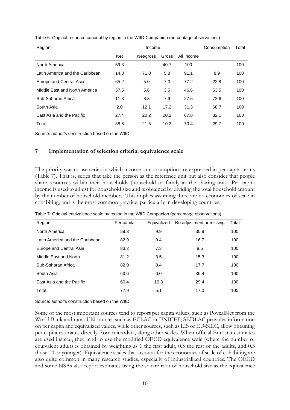| Region                          |            | Income    | Consumption | Total      |      |     |
|---------------------------------|------------|-----------|-------------|------------|------|-----|
|                                 | <b>Net</b> | Net/gross | Gross       | All Income |      |     |
| North America                   | 59.3       |           | 40.7        | 100        |      | 100 |
| Latin America and the Caribbean | 14.3       | 71.0      | 5.8         | 91.1       | 8.9  | 100 |
| Europe and Central Asia         | 65.2       | 5.0       | 7.0         | 77.2       | 22.8 | 100 |
| Middle East and North America   | 37.5       | 5.6       | 3.5         | 46.6       | 53.5 | 100 |
| Sub-Saharan Africa              | 11.3       | 8.3       | 7.9         | 27.5       | 72.6 | 100 |
| South Asia                      | 2.0        | 12.1      | 17.2        | 31.3       | 68.7 | 100 |
| East Asia and the Pacific       | 27.4       | 20.2      | 20.2        | 67.8       | 32.1 | 100 |
| Total                           | 38.6       | 21.5      | 10.3        | 70.4       | 29.7 | 100 |

Table 6: Original resource concept by region in the WIID Companion (percentage observations)

Source: author's construction based on the WIID.

## **7 Implementation of selection criteria: equivalence scale**

The priority was to use series in which income or consumption are expressed in per capita terms (Table 7). That is, series that take the person as the reference unit but also consider that people share resources within their households (household or family as the sharing unit). Per capita income is used to adjust for household size and is obtained by dividing the total household amount by the number of household members. This implies assuming there are no economies of scale in cohabiting, and is the most common practice, particularly in developing countries.

| Region                          | Per capita | Equivalized | No adjustment or missing | Total |
|---------------------------------|------------|-------------|--------------------------|-------|
|                                 |            |             |                          |       |
| North America                   | 59.3       | 9.9         | 30.9                     | 100   |
| Latin America and the Caribbean | 82.9       | 0.4         | 16.7                     | 100   |
| Europe and Central Asia         | 83.2       | 7.3         | 9.5                      | 100   |
| Middle East and North           | 81.2       | 3.5         | 15.3                     | 100   |
| Sub-Saharan Africa              | 82.0       | 0.4         | 17.7                     | 100   |
| South Asia                      | 63.6       | 0.0         | 36.4                     | 100   |
| East Asia and the Pacific       | 60.4       | 10.3        | 29.4                     | 100   |
| Total                           | 77.9       | 5.1         | 17.0                     | 100   |

Table 7: Original equivalence scale by region in the WIID Companion (percentage observations)

Source: author's construction based on the WIID.

Some of the most important sources tend to report per capita values, such as PovcalNet from the World Bank and most UN sources such as ECLAC or UNICEF; SEDLAC provides information on per capita and equivalized values, while other sources, such as LIS or EU-SILC, allow obtaining per capita estimates directly from microdata, along other scales. When official Eurostat estimates are used instead, they tend to use the modified OECD equivalence scale (where the number of equivalent adults is obtained by weighting as 1 the first adult, 0.5 the rest of the adults, and 0.3 those 14 or younger). Equivalence scales that account for the economies of scale of cohabiting are also quite common in many research studies, especially of industrialized countries. The OECD and some NSAs also report estimates using the square root of household size as the equivalence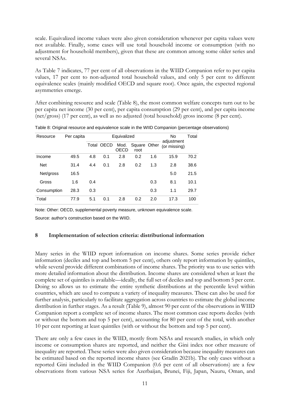scale. Equivalized income values were also given consideration whenever per capita values were not available. Finally, some cases will use total household income or consumption (with no adjustment for household members), given that these are common among some older series and several NSAs.

As Table 7 indicates, 77 per cent of all observations in the WIID Companion refer to per capita values, 17 per cent to non-adjusted total household values, and only 5 per cent to different equivalence scales (mainly modified OECD and square root). Once again, the expected regional asymmetries emerge.

After combining resource and scale (Table 8), the most common welfare concepts turn out to be per capita net income (30 per cent), per capita consumption (29 per cent), and per capita income (net/gross) (17 per cent), as well as no adjusted (total household) gross income (8 per cent).

| Resource    | Per capita |     | Equivalized | No                  | Total                |     |                            |      |
|-------------|------------|-----|-------------|---------------------|----------------------|-----|----------------------------|------|
|             |            |     | Total OECD  | Mod.<br><b>OECD</b> | Square Other<br>root |     | adjustment<br>(or missing) |      |
| Income      | 49.5       | 4.8 | 0.1         | 2.8                 | 0.2                  | 1.6 | 15.9                       | 70.2 |
| <b>Net</b>  | 31.4       | 4.4 | 0.1         | 2.8                 | 0.2                  | 1.3 | 2.8                        | 38.6 |
| Net/gross   | 16.5       |     |             |                     |                      |     | 5.0                        | 21.5 |
| Gross       | 1.6        | 0.4 |             |                     |                      | 0.3 | 8.1                        | 10.1 |
| Consumption | 28.3       | 0.3 |             |                     |                      | 0.3 | 1.1                        | 29.7 |
| Total       | 77.9       | 5.1 | 0.1         | 2.8                 | 0.2                  | 2.0 | 17.3                       | 100  |

Table 8: Original resource and equivalence scale in the WIID Companion (percentage observations)

Note: Other: OECD, supplemental poverty measure, unknown equivalence scale. Source: author's construction based on the WIID.

## **8 Implementation of selection criteria: distributional information**

Many series in the WIID report information on income shares. Some series provide richer information (deciles and top and bottom 5 per cent), others only report information by quintiles, while several provide different combinations of income shares. The priority was to use series with more detailed information about the distribution. Income shares are considered when at least the complete set of quintiles is available—ideally, the full set of deciles and top and bottom 5 per cent. Doing so allows us to estimate the entire synthetic distributions at the percentile level within countries, which are used to compute a variety of inequality measures. These can also be used for further analysis, particularly to facilitate aggregation across countries to estimate the global income distribution in further stages. As a result (Table 9), almost 90 per cent of the observations in WIID Companion report a complete set of income shares. The most common case reports deciles (with or without the bottom and top 5 per cent), accounting for 80 per cent of the total, with another 10 per cent reporting at least quintiles (with or without the bottom and top 5 per cent).

There are only a few cases in the WIID, mostly from NSAs and research studies, in which only income or consumption shares are reported, and neither the Gini index nor other measure of inequality are reported. These series were also given consideration because inequality measures can be estimated based on the reported income shares (see Gradín 2021b). The only cases without a reported Gini included in the WIID Companion (0.6 per cent of all observations) are a few observations from various NSA series for Azerbaijan, Brunei, Fiji, Japan, Nauru, Oman, and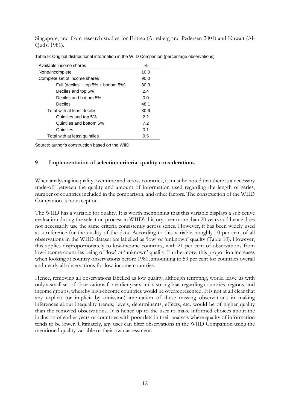Singapore, and from research studies for Eritrea (Arneberg and Pedersen 2001) and Kuwait (Al-Qudsi 1981).

| Available income shares                   | %    |
|-------------------------------------------|------|
| None/incomplete                           | 10.0 |
| Complete set of income shares             | 90.0 |
| Full (deciles + top $5\%$ + bottom $5\%)$ | 30.0 |
| Deciles and top 5%                        | 2.4  |
| Deciles and bottom 5%                     | 0.0  |
| Deciles                                   | 48.1 |
| Total with at least deciles               | 80.6 |
| Quintiles and top 5%                      | 2.2  |
| Quintiles and bottom 5%                   | 7.2  |
| Quintiles                                 | 0.1  |
| Total with at least quintiles             | 9.5  |

Table 9: Original distributional information in the WIID Companion (percentage observations)

Source: author's construction based on the WIID.

## **9 Implementation of selection criteria: quality considerations**

When analysing inequality over time and across countries, it must be noted that there is a necessary trade-off between the quality and amount of information used regarding the length of series, number of countries included in the comparison, and other factors. The construction of the WIID Companion is no exception.

The WIID has a variable for quality. It is worth mentioning that this variable displays a subjective evaluation during the selection process in WIID's history over more than 20 years and hence does not necessarily use the same criteria consistently across series. However, it has been widely used as a reference for the quality of the data. According to this variable, roughly 10 per cent of all observations in the WIID dataset are labelled as 'low' or 'unknown' quality (Table 10). However, this applies disproportionately to low-income countries, with 21 per cent of observations from low-income countries being of 'low' or 'unknown' quality. Furthermore, this proportion increases when looking at country observations before 1980, amounting to 59 per cent for countries overall and nearly all observations for low-income countries.

Hence, removing all observations labelled as low quality, although tempting, would leave us with only a small set of observations for earlier years and a strong bias regarding countries, regions, and income groups, whereby high-income countries would be overrepresented. It is not at all clear that any explicit (or implicit by omission) imputation of these missing observations in making inferences about inequality trends, levels, determinants, effects, etc. would be of higher quality than the removed observations. It is hence up to the user to make informed choices about the inclusion of earlier years or countries with poor data in their analysis where quality of information tends to be lower. Ultimately, any user can filter observations in the WIID Companion using the mentioned quality variable or their own assessment.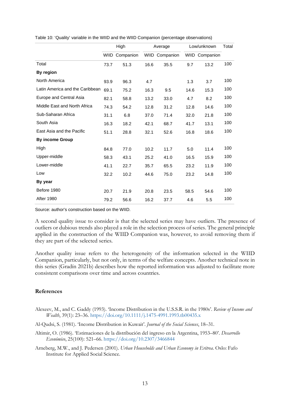|                                 | High |           | Average |                | Low/unknown |                | Total |
|---------------------------------|------|-----------|---------|----------------|-------------|----------------|-------|
|                                 | WIID | Companion |         | WIID Companion |             | WIID Companion |       |
| Total                           | 73.7 | 51.3      | 16.6    | 35.5           | 9.7         | 13.2           | 100   |
| By region                       |      |           |         |                |             |                |       |
| North America                   | 93.9 | 96.3      | 4.7     |                | 1.3         | 3.7            | 100   |
| Latin America and the Caribbean | 69.1 | 75.2      | 16.3    | 9.5            | 14.6        | 15.3           | 100   |
| Europe and Central Asia         | 82.1 | 58.8      | 13.2    | 33.0           | 4.7         | 8.2            | 100   |
| Middle East and North Africa    | 74.3 | 54.2      | 12.8    | 31.2           | 12.8        | 14.6           | 100   |
| Sub-Saharan Africa              | 31.1 | 6.8       | 37.0    | 71.4           | 32.0        | 21.8           | 100   |
| South Asia                      | 16.3 | 18.2      | 42.1    | 68.7           | 41.7        | 13.1           | 100   |
| East Asia and the Pacific       | 51.1 | 28.8      | 32.1    | 52.6           | 16.8        | 18.6           | 100   |
| <b>By income Group</b>          |      |           |         |                |             |                |       |
| High                            | 84.8 | 77.0      | 10.2    | 11.7           | 5.0         | 11.4           | 100   |
| Upper-middle                    | 58.3 | 43.1      | 25.2    | 41.0           | 16.5        | 15.9           | 100   |
| Lower-middle                    | 41.1 | 22.7      | 35.7    | 65.5           | 23.2        | 11.9           | 100   |
| Low                             | 32.2 | 10.2      | 44.6    | 75.0           | 23.2        | 14.8           | 100   |
| By year                         |      |           |         |                |             |                |       |
| Before 1980                     | 20.7 | 21.9      | 20.8    | 23.5           | 58.5        | 54.6           | 100   |
| <b>After 1980</b>               | 79.2 | 56.6      | 16.2    | 37.7           | 4.6         | 5.5            | 100   |

Table 10: 'Quality' variable in the WIID and the WIID Companion (percentage observations)

Source: author's construction based on the WIID.

A second quality issue to consider is that the selected series may have outliers. The presence of outliers or dubious trends also played a role in the selection process of series. The general principle applied in the construction of the WIID Companion was, however, to avoid removing them if they are part of the selected series.

Another quality issue refers to the heterogeneity of the information selected in the WIID Companion, particularly, but not only, in terms of the welfare concepts. Another technical note in this series (Gradín 2021b) describes how the reported information was adjusted to facilitate more consistent comparisons over time and across countries.

#### **References**

- Alexeev, M., and C. Gaddy (1993). 'Income Distribution in the U.S.S.R. in the 1980s'. *Review of Income and Wealth*, 39(1): 23–36. <https://doi.org/10.1111/j.1475-4991.1993.tb00435.x>
- Al-Qudsi, S. (1981). 'Income Distribution in Kuwait'. *Journal of the Social Sciences*, 18–31.
- Altimir, O. (1986). 'Estimaciones de la distribución del ingreso en la Argentina, 1953–80'. *Desarrollo Económico*, 25(100): 521–66. <https://doi.org/10.2307/3466844>
- Arneberg, M.W., and J. Pedersen (2001). *Urban Households and Urban Economy in Eritrea*. Oslo: Fafo Institute for Applied Social Science.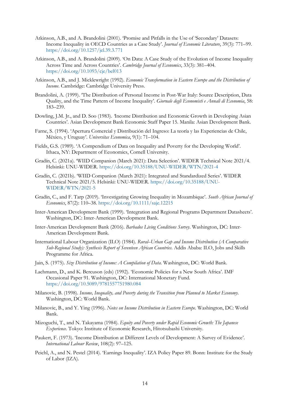- Atkinson, A.B., and A. Brandolini (2001). 'Promise and Pitfalls in the Use of 'Secondary' Datasets: Income Inequality in OECD Countries as a Case Study'. *Journal of Economic Literature*, 39(3): 771–99. <https://doi.org/10.1257/jel.39.3.771>
- Atkinson, A.B., and A. Brandolini (2009). 'On Data: A Case Study of the Evolution of Income Inequality Across Time and Across Countries'. *Cambridge Journal of Economics*, 33(3): 381–404. <https://doi.org/10.1093/cje/bel013>
- Atkinson, A.B., and J. Micklewright (1992). *Economic Transformation in Eastern Europe and the Distribution of Income*. Cambridge: Cambridge University Press.
- Brandolini, A. (1999). 'The Distribution of Personal Income in Post-War Italy: Source Description, Data Quality, and the Time Pattern of Income Inequality'. *Giornale degli Economisti e Annali di Economia*, 58: 183–239.
- Dowling, J.M. Jr., and D. Soo (1983). *'*Income Distribution and Economic Growth in Developing Asian Countries'*.* Asian Development Bank Economic Staff Paper 15. Manila: Asian Development Bank.
- Farne, S. (1994). 'Apertura Comercial y Distribución del Ingreso: La teoría y las Experiencias de Chile, México, y Uruguay'. *Universitas Economica*, 9(1): 71–104.
- Fields, G.S. (1989). 'A Compendium of Data on Inequality and Poverty for the Developing World'. Ithaca, NY: Department of Economics, Cornell University.
- Gradín, C. (2021a). 'WIID Companion (March 2021): Data Selection'. WIDER Technical Note 2021/4. Helsinki: UNU-WIDER.<https://doi.org/10.35188/UNU-WIDER/WTN/2021-4>
- Gradín, C. (2021b). 'WIID Companion (March 2021): Integrated and Standardized Series'. WIDER Technical Note 2021/5. Helsinki: UNU-WIDER. [https://doi.org/10.35188/UNU-](https://doi.org/10.35188/UNU-WIDER/WTN/2021-5)[WIDER/WTN/2021-5](https://doi.org/10.35188/UNU-WIDER/WTN/2021-5)
- Gradín, C., and F. Tarp (2019). 'Investigating Growing Inequality in Mozambique'. *South African Journal of Economics*, 87(2): 110–38.<https://doi.org/10.1111/saje.12215>
- Inter-American Development Bank (1999). 'Integration and Regional Programs Department Datasheets'. Washington, DC: Inter-American Development Bank.
- Inter-American Development Bank (2016). *Barbados Living Conditions Survey*. Washington, DC: Inter-American Development Bank.
- International Labour Organization (ILO) (1984). *Rural–Urban Gap and Income Distribution (A Comparative Sub-Regional Study): Synthesis Report of Seventeen African Countries*. Addis Ababa: ILO, Jobs and Skills Programme for Africa.
- Jain, S. (1975). *Size Distribution of Income: A Compilation of Data*. Washington, DC: World Bank.
- Lachmann, D., and K. Bercuson (eds) (1992). 'Economic Policies for a New South Africa'. IMF Occasional Paper 91. Washington, DC: International Monetary Fund. <https://doi.org/10.5089/9781557751980.084>
- Milanovic, B. (1998). *Income, Inequality, and Poverty during the Transition from Planned to Market Economy*. Washington, DC: World Bank.
- Milanovic, B., and Y. Ying (1996). *Notes on Income Distribution in Eastern Europe*. Washington, DC: World Bank.
- Mizoguchi, T., and N. Takayama (1984). *Equity and Poverty under Rapid Economic Growth: The Japanese Experience*. Tokyo: Institute of Economic Research, Hitotsubashi University.
- Paukert, F. (1973). 'Income Distribution at Different Levels of Development: A Survey of Evidence'. *International Labour Review*, 108(2): 97–125.
- Peichl, A., and N. Pestel (2014). 'Earnings Inequality'. IZA Policy Paper 89. Bonn: Institute for the Study of Labor (IZA).